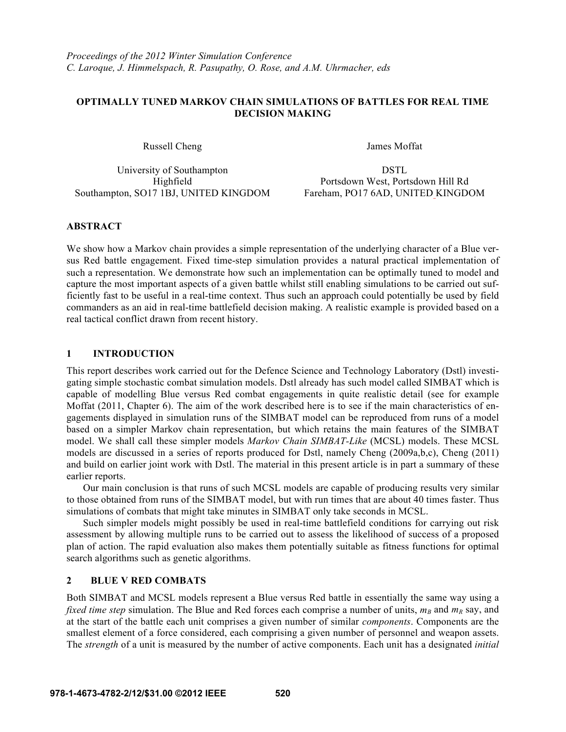# **OPTIMALLY TUNED MARKOV CHAIN SIMULATIONS OF BATTLES FOR REAL TIME DECISION MAKING**

University of Southampton DSTL Southampton, SO17 1BJ, UNITED KINGDOM Fareham, PO17 6AD, UNITED KINGDOM

Russell Cheng James Moffat

Highfield Portsdown West, Portsdown Hill Rd

# **ABSTRACT**

We show how a Markov chain provides a simple representation of the underlying character of a Blue versus Red battle engagement. Fixed time-step simulation provides a natural practical implementation of such a representation. We demonstrate how such an implementation can be optimally tuned to model and capture the most important aspects of a given battle whilst still enabling simulations to be carried out sufficiently fast to be useful in a real-time context. Thus such an approach could potentially be used by field commanders as an aid in real-time battlefield decision making. A realistic example is provided based on a real tactical conflict drawn from recent history.

# **1 INTRODUCTION**

This report describes work carried out for the Defence Science and Technology Laboratory (Dstl) investigating simple stochastic combat simulation models. Dstl already has such model called SIMBAT which is capable of modelling Blue versus Red combat engagements in quite realistic detail (see for example Moffat (2011, Chapter 6). The aim of the work described here is to see if the main characteristics of engagements displayed in simulation runs of the SIMBAT model can be reproduced from runs of a model based on a simpler Markov chain representation, but which retains the main features of the SIMBAT model. We shall call these simpler models *Markov Chain SIMBAT-Like* (MCSL) models. These MCSL models are discussed in a series of reports produced for Dstl, namely Cheng (2009a,b,c), Cheng (2011) and build on earlier joint work with Dstl. The material in this present article is in part a summary of these earlier reports.

Our main conclusion is that runs of such MCSL models are capable of producing results very similar to those obtained from runs of the SIMBAT model, but with run times that are about 40 times faster. Thus simulations of combats that might take minutes in SIMBAT only take seconds in MCSL.

Such simpler models might possibly be used in real-time battlefield conditions for carrying out risk assessment by allowing multiple runs to be carried out to assess the likelihood of success of a proposed plan of action. The rapid evaluation also makes them potentially suitable as fitness functions for optimal search algorithms such as genetic algorithms.

# **2 BLUE V RED COMBATS**

Both SIMBAT and MCSL models represent a Blue versus Red battle in essentially the same way using a *fixed time step* simulation. The Blue and Red forces each comprise a number of units,  $m_B$  and  $m_B$  say, and at the start of the battle each unit comprises a given number of similar *components*. Components are the smallest element of a force considered, each comprising a given number of personnel and weapon assets. The *strength* of a unit is measured by the number of active components. Each unit has a designated *initial*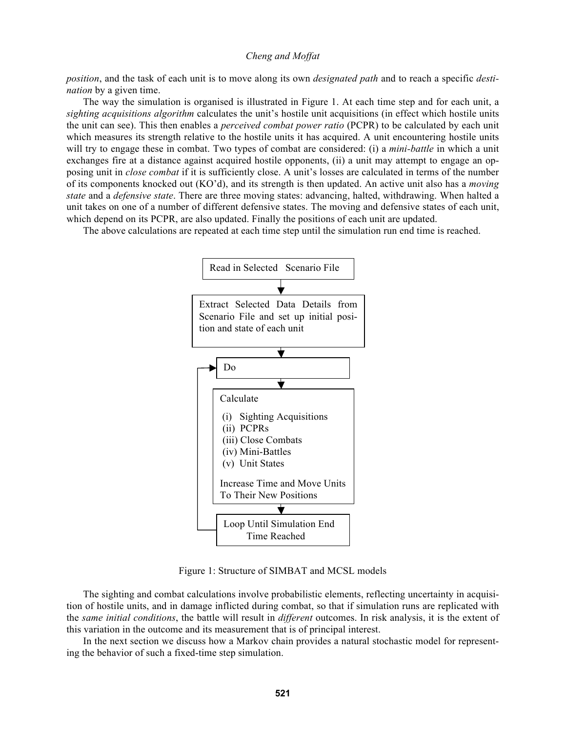*position*, and the task of each unit is to move along its own *designated path* and to reach a specific *destination* by a given time.

The way the simulation is organised is illustrated in Figure 1. At each time step and for each unit, a *sighting acquisitions algorithm* calculates the unit's hostile unit acquisitions (in effect which hostile units the unit can see). This then enables a *perceived combat power ratio* (PCPR) to be calculated by each unit which measures its strength relative to the hostile units it has acquired. A unit encountering hostile units will try to engage these in combat. Two types of combat are considered: (i) a *mini-battle* in which a unit exchanges fire at a distance against acquired hostile opponents, (ii) a unit may attempt to engage an opposing unit in *close combat* if it is sufficiently close. A unit's losses are calculated in terms of the number of its components knocked out (KO'd), and its strength is then updated. An active unit also has a *moving state* and a *defensive state*. There are three moving states: advancing, halted, withdrawing. When halted a unit takes on one of a number of different defensive states. The moving and defensive states of each unit, which depend on its PCPR, are also updated. Finally the positions of each unit are updated.

The above calculations are repeated at each time step until the simulation run end time is reached.



Figure 1: Structure of SIMBAT and MCSL models

The sighting and combat calculations involve probabilistic elements, reflecting uncertainty in acquisition of hostile units, and in damage inflicted during combat, so that if simulation runs are replicated with the *same initial conditions*, the battle will result in *different* outcomes. In risk analysis, it is the extent of this variation in the outcome and its measurement that is of principal interest.

In the next section we discuss how a Markov chain provides a natural stochastic model for representing the behavior of such a fixed-time step simulation.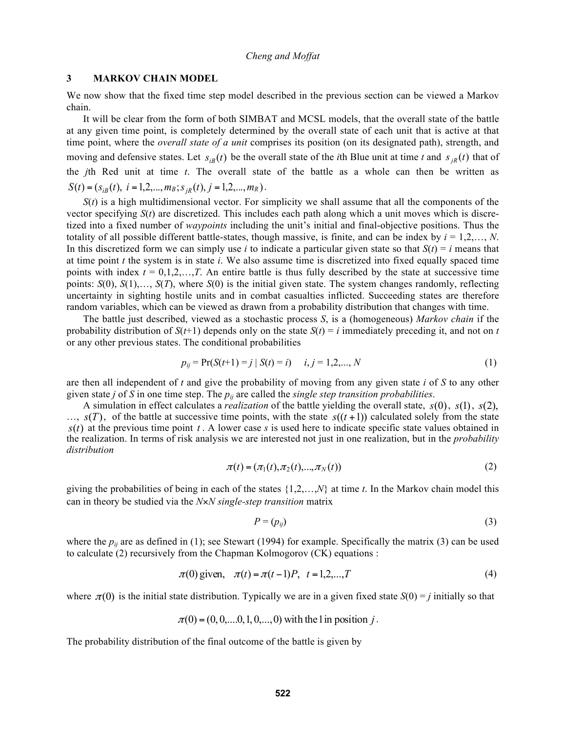### **3 MARKOV CHAIN MODEL**

We now show that the fixed time step model described in the previous section can be viewed a Markov chain.

 It will be clear from the form of both SIMBAT and MCSL models, that the overall state of the battle at any given time point, is completely determined by the overall state of each unit that is active at that time point, where the *overall state of a unit* comprises its position (on its designated path), strength, and moving and defensive states. Let  $s_{iB}(t)$  be the overall state of the *i*th Blue unit at time *t* and  $s_{iR}(t)$  that of the *j*th Red unit at time *t*. The overall state of the battle as a whole can then be written as  $S(t) = (s_{iB}(t), i = 1,2,..., m_B; s_{iR}(t), j = 1,2,..., m_R)$ .

*S*(*t*) is a high multidimensional vector. For simplicity we shall assume that all the components of the vector specifying *S*(*t*) are discretized. This includes each path along which a unit moves which is discretized into a fixed number of *waypoints* including the unit's initial and final-objective positions. Thus the totality of all possible different battle-states, though massive, is finite, and can be index by *i* = 1,2,…, *N*. In this discretized form we can simply use *i* to indicate a particular given state so that  $S(t) = i$  means that at time point *t* the system is in state *i*. We also assume time is discretized into fixed equally spaced time points with index  $t = 0,1,2,...,T$ . An entire battle is thus fully described by the state at successive time points: *S*(0), *S*(1),…, *S*(*T*), where *S*(0) is the initial given state. The system changes randomly, reflecting uncertainty in sighting hostile units and in combat casualties inflicted. Succeeding states are therefore random variables, which can be viewed as drawn from a probability distribution that changes with time.

 The battle just described, viewed as a stochastic process *S*, is a (homogeneous) *Markov chain* if the probability distribution of  $S(t+1)$  depends only on the state  $S(t) = i$  immediately preceding it, and not on *t* or any other previous states. The conditional probabilities

$$
p_{ij} = \Pr(S(t+1) = j \mid S(t) = i) \quad i, j = 1, 2, ..., N \tag{1}
$$

are then all independent of *t* and give the probability of moving from any given state *i* of *S* to any other given state *j* of *S* in one time step. The *pij* are called the *single step transition probabilities*.

 A simulation in effect calculates a *realization* of the battle yielding the overall state, *s*(0), *s*(1), *s*(2),  $\ldots$ , *s*(*T*), of the battle at successive time points, with the state *s*((*t*+1)) calculated solely from the state *s*(*t*) at the previous time point *t* . A lower case *s* is used here to indicate specific state values obtained in the realization. In terms of risk analysis we are interested not just in one realization, but in the *probability distribution*

$$
\pi(t) = (\pi_1(t), \pi_2(t), ..., \pi_N(t))
$$
\n(2)

giving the probabilities of being in each of the states  $\{1,2,\ldots,N\}$  at time *t*. In the Markov chain model this can in theory be studied via the *N*×*N single-step transition* matrix

$$
P = (p_{ij})
$$
 (3)

where the  $p_{ij}$  are as defined in (1); see Stewart (1994) for example. Specifically the matrix (3) can be used to calculate (2) recursively from the Chapman Kolmogorov (CK) equations :

$$
\pi(0)
$$
 given,  $\pi(t) = \pi(t-1)P$ ,  $t = 1,2,...,T$  (4)

where  $\pi(0)$  is the initial state distribution. Typically we are in a given fixed state  $S(0) = i$  initially so that

$$
\pi(0) = (0, 0, \dots, 0, 1, 0, \dots, 0)
$$
 with the 1 in position j.

The probability distribution of the final outcome of the battle is given by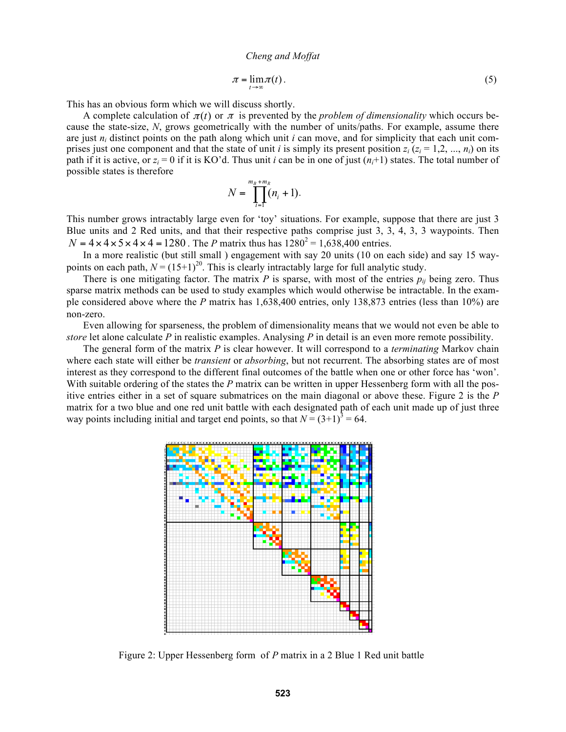$$
\pi = \lim_{t \to \infty} \pi(t) \,. \tag{5}
$$

This has an obvious form which we will discuss shortly.

A complete calculation of  $\pi(t)$  or  $\pi$  is prevented by the *problem of dimensionality* which occurs because the state-size, *N*, grows geometrically with the number of units/paths. For example, assume there are just *ni* distinct points on the path along which unit *i* can move, and for simplicity that each unit comprises just one component and that the state of unit *i* is simply its present position  $z_i$  ( $z_i$  = 1,2, ...,  $n_i$ ) on its path if it is active, or  $z_i = 0$  if it is KO'd. Thus unit *i* can be in one of just  $(n_i+1)$  states. The total number of possible states is therefore

$$
N = \prod_{i=1}^{m_B + m_R} (n_i + 1).
$$

This number grows intractably large even for 'toy' situations. For example, suppose that there are just 3 Blue units and 2 Red units, and that their respective paths comprise just 3, 3, 4, 3, 3 waypoints. Then  $N = 4 \times 4 \times 5 \times 4 \times 4 = 1280$ . The *P* matrix thus has  $1280^2 = 1,638,400$  entries.

 In a more realistic (but still small ) engagement with say 20 units (10 on each side) and say 15 waypoints on each path,  $N = (15+1)^{20}$ . This is clearly intractably large for full analytic study.

There is one mitigating factor. The matrix  $P$  is sparse, with most of the entries  $p_{ij}$  being zero. Thus sparse matrix methods can be used to study examples which would otherwise be intractable. In the example considered above where the *P* matrix has 1,638,400 entries, only 138,873 entries (less than 10%) are non-zero.

 Even allowing for sparseness, the problem of dimensionality means that we would not even be able to *store* let alone calculate *P* in realistic examples. Analysing *P* in detail is an even more remote possibility.

The general form of the matrix *P* is clear however. It will correspond to a *terminating* Markov chain where each state will either be *transient* or *absorbing*, but not recurrent. The absorbing states are of most interest as they correspond to the different final outcomes of the battle when one or other force has 'won'. With suitable ordering of the states the *P* matrix can be written in upper Hessenberg form with all the positive entries either in a set of square submatrices on the main diagonal or above these. Figure 2 is the *P*  matrix for a two blue and one red unit battle with each designated path of each unit made up of just three way points including initial and target end points, so that  $N = (3+1)^3 = 64$ .



Figure 2: Upper Hessenberg form of *P* matrix in a 2 Blue 1 Red unit battle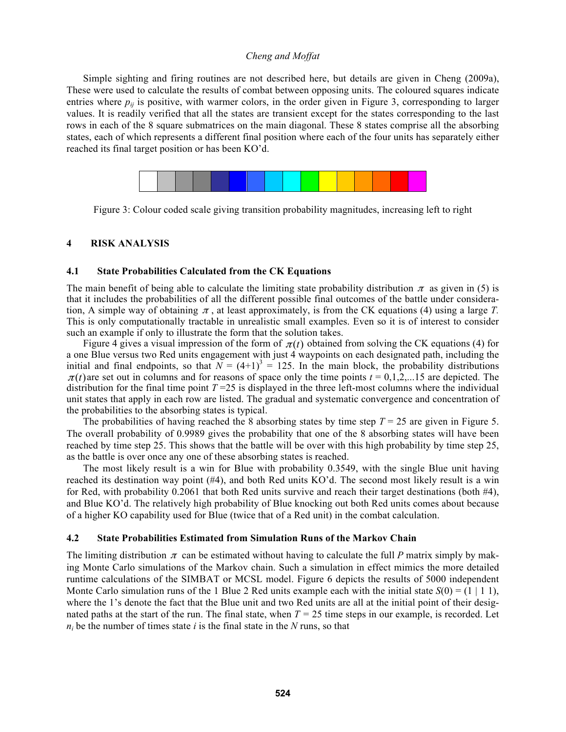Simple sighting and firing routines are not described here, but details are given in Cheng (2009a), These were used to calculate the results of combat between opposing units. The coloured squares indicate entries where  $p_{ij}$  is positive, with warmer colors, in the order given in Figure 3, corresponding to larger values. It is readily verified that all the states are transient except for the states corresponding to the last rows in each of the 8 square submatrices on the main diagonal. These 8 states comprise all the absorbing states, each of which represents a different final position where each of the four units has separately either reached its final target position or has been KO'd.



Figure 3: Colour coded scale giving transition probability magnitudes, increasing left to right

# **4 RISK ANALYSIS**

### **4.1 State Probabilities Calculated from the CK Equations**

The main benefit of being able to calculate the limiting state probability distribution  $\pi$  as given in (5) is that it includes the probabilities of all the different possible final outcomes of the battle under consideration, A simple way of obtaining  $\pi$ , at least approximately, is from the CK equations (4) using a large *T*. This is only computationally tractable in unrealistic small examples. Even so it is of interest to consider such an example if only to illustrate the form that the solution takes.

Figure 4 gives a visual impression of the form of  $\pi(t)$  obtained from solving the CK equations (4) for a one Blue versus two Red units engagement with just 4 waypoints on each designated path, including the initial and final endpoints, so that  $\tilde{N} = (4+1)^3 = 125$ . In the main block, the probability distributions  $\pi(t)$  are set out in columns and for reasons of space only the time points  $t = 0, 1, 2, \dots 15$  are depicted. The distribution for the final time point  $T = 25$  is displayed in the three left-most columns where the individual unit states that apply in each row are listed. The gradual and systematic convergence and concentration of the probabilities to the absorbing states is typical.

The probabilities of having reached the 8 absorbing states by time step  $T = 25$  are given in Figure 5. The overall probability of 0.9989 gives the probability that one of the 8 absorbing states will have been reached by time step 25. This shows that the battle will be over with this high probability by time step 25, as the battle is over once any one of these absorbing states is reached.

 The most likely result is a win for Blue with probability 0.3549, with the single Blue unit having reached its destination way point (#4), and both Red units KO'd. The second most likely result is a win for Red, with probability 0.2061 that both Red units survive and reach their target destinations (both #4), and Blue KO'd. The relatively high probability of Blue knocking out both Red units comes about because of a higher KO capability used for Blue (twice that of a Red unit) in the combat calculation.

## **4.2 State Probabilities Estimated from Simulation Runs of the Markov Chain**

The limiting distribution  $\pi$  can be estimated without having to calculate the full *P* matrix simply by making Monte Carlo simulations of the Markov chain. Such a simulation in effect mimics the more detailed runtime calculations of the SIMBAT or MCSL model. Figure 6 depicts the results of 5000 independent Monte Carlo simulation runs of the 1 Blue 2 Red units example each with the initial state  $S(0) = (1 \mid 1 \mid 1)$ , where the 1's denote the fact that the Blue unit and two Red units are all at the initial point of their designated paths at the start of the run. The final state, when  $T = 25$  time steps in our example, is recorded. Let  $n_i$  be the number of times state *i* is the final state in the *N* runs, so that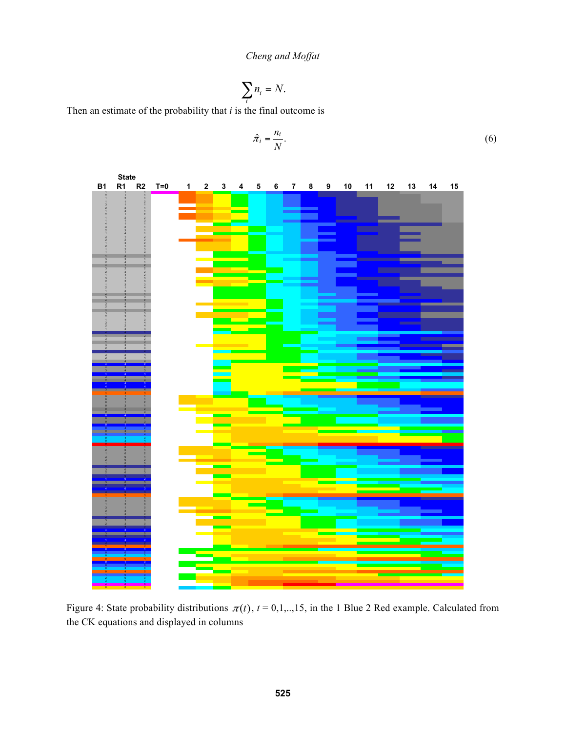$$
\sum_i n_i = N.
$$

Then an estimate of the probability that *i* is the final outcome is

$$
\hat{\pi}_i = \frac{n_i}{N}.\tag{6}
$$



Figure 4: State probability distributions  $\pi(t)$ ,  $t = 0,1,..,15$ , in the 1 Blue 2 Red example. Calculated from the CK equations and displayed in columns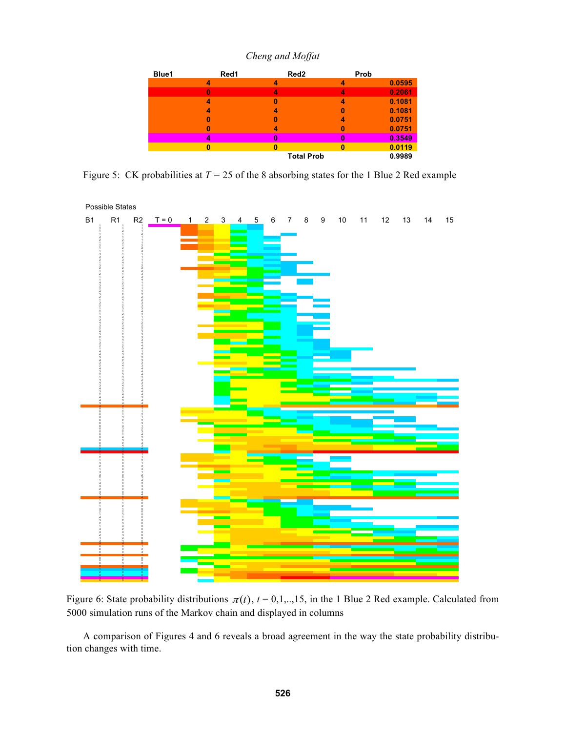

Figure 5: CK probabilities at *T =* 25 of the 8 absorbing states for the 1 Blue 2 Red example



Figure 6: State probability distributions  $\pi(t)$ ,  $t = 0,1,..,15$ , in the 1 Blue 2 Red example. Calculated from 5000 simulation runs of the Markov chain and displayed in columns

 A comparison of Figures 4 and 6 reveals a broad agreement in the way the state probability distribution changes with time.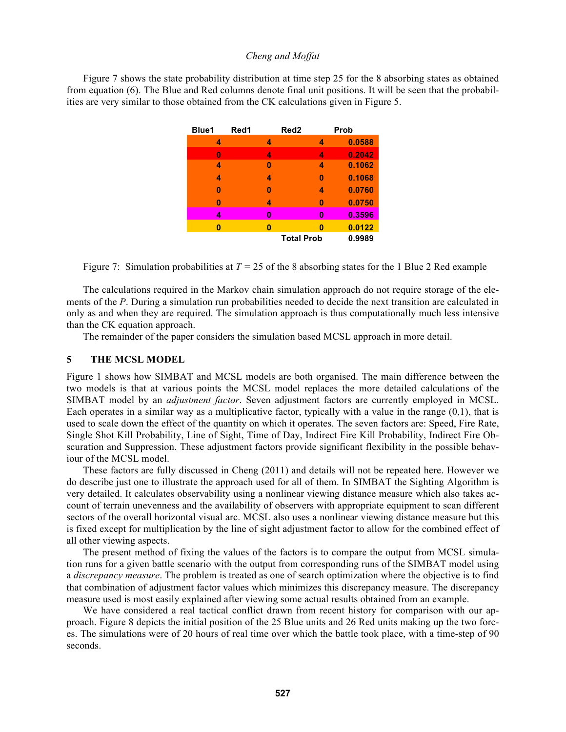Figure 7 shows the state probability distribution at time step 25 for the 8 absorbing states as obtained from equation (6). The Blue and Red columns denote final unit positions. It will be seen that the probabilities are very similar to those obtained from the CK calculations given in Figure 5.

| Blue1 | Red1 |   | Red <sub>2</sub>  |   | <b>Prob</b> |
|-------|------|---|-------------------|---|-------------|
|       |      |   |                   |   | 0.0588      |
| O     |      | 4 |                   | Δ | 0.2042      |
| 4     |      | 0 |                   | 4 | 0.1062      |
| 4     |      | 4 |                   | 0 | 0.1068      |
| 0     |      | 0 |                   | 4 | 0.0760      |
| 0     |      | 4 |                   |   | 0.0750      |
| 4     |      | Ō |                   | 0 | 0.3596      |
| 0     |      | 0 |                   |   | 0.0122      |
|       |      |   | <b>Total Prob</b> |   | 0.9989      |

Figure 7: Simulation probabilities at  $T = 25$  of the 8 absorbing states for the 1 Blue 2 Red example

 The calculations required in the Markov chain simulation approach do not require storage of the elements of the *P*. During a simulation run probabilities needed to decide the next transition are calculated in only as and when they are required. The simulation approach is thus computationally much less intensive than the CK equation approach.

The remainder of the paper considers the simulation based MCSL approach in more detail.

## **5 THE MCSL MODEL**

Figure 1 shows how SIMBAT and MCSL models are both organised. The main difference between the two models is that at various points the MCSL model replaces the more detailed calculations of the SIMBAT model by an *adjustment factor*. Seven adjustment factors are currently employed in MCSL. Each operates in a similar way as a multiplicative factor, typically with a value in the range (0,1), that is used to scale down the effect of the quantity on which it operates. The seven factors are: Speed, Fire Rate, Single Shot Kill Probability, Line of Sight, Time of Day, Indirect Fire Kill Probability, Indirect Fire Obscuration and Suppression. These adjustment factors provide significant flexibility in the possible behaviour of the MCSL model.

 These factors are fully discussed in Cheng (2011) and details will not be repeated here. However we do describe just one to illustrate the approach used for all of them. In SIMBAT the Sighting Algorithm is very detailed. It calculates observability using a nonlinear viewing distance measure which also takes account of terrain unevenness and the availability of observers with appropriate equipment to scan different sectors of the overall horizontal visual arc. MCSL also uses a nonlinear viewing distance measure but this is fixed except for multiplication by the line of sight adjustment factor to allow for the combined effect of all other viewing aspects.

The present method of fixing the values of the factors is to compare the output from MCSL simulation runs for a given battle scenario with the output from corresponding runs of the SIMBAT model using a *discrepancy measure*. The problem is treated as one of search optimization where the objective is to find that combination of adjustment factor values which minimizes this discrepancy measure. The discrepancy measure used is most easily explained after viewing some actual results obtained from an example.

We have considered a real tactical conflict drawn from recent history for comparison with our approach. Figure 8 depicts the initial position of the 25 Blue units and 26 Red units making up the two forces. The simulations were of 20 hours of real time over which the battle took place, with a time-step of 90 seconds.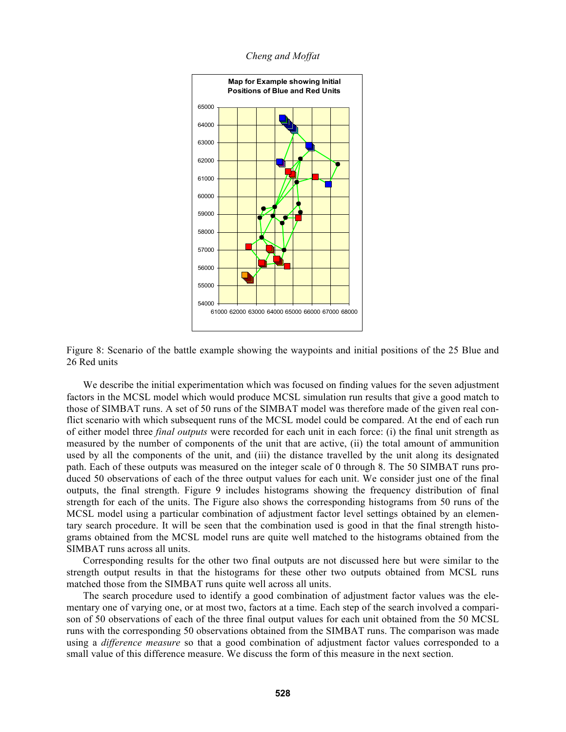

*Cheng and Moffat* 



We describe the initial experimentation which was focused on finding values for the seven adjustment factors in the MCSL model which would produce MCSL simulation run results that give a good match to those of SIMBAT runs. A set of 50 runs of the SIMBAT model was therefore made of the given real conflict scenario with which subsequent runs of the MCSL model could be compared. At the end of each run of either model three *final outputs* were recorded for each unit in each force: (i) the final unit strength as measured by the number of components of the unit that are active, (ii) the total amount of ammunition used by all the components of the unit, and (iii) the distance travelled by the unit along its designated path. Each of these outputs was measured on the integer scale of 0 through 8. The 50 SIMBAT runs produced 50 observations of each of the three output values for each unit. We consider just one of the final outputs, the final strength. Figure 9 includes histograms showing the frequency distribution of final strength for each of the units. The Figure also shows the corresponding histograms from 50 runs of the MCSL model using a particular combination of adjustment factor level settings obtained by an elementary search procedure. It will be seen that the combination used is good in that the final strength histograms obtained from the MCSL model runs are quite well matched to the histograms obtained from the SIMBAT runs across all units.

 Corresponding results for the other two final outputs are not discussed here but were similar to the strength output results in that the histograms for these other two outputs obtained from MCSL runs matched those from the SIMBAT runs quite well across all units.

 The search procedure used to identify a good combination of adjustment factor values was the elementary one of varying one, or at most two, factors at a time. Each step of the search involved a comparison of 50 observations of each of the three final output values for each unit obtained from the 50 MCSL runs with the corresponding 50 observations obtained from the SIMBAT runs. The comparison was made using a *difference measure* so that a good combination of adjustment factor values corresponded to a small value of this difference measure. We discuss the form of this measure in the next section.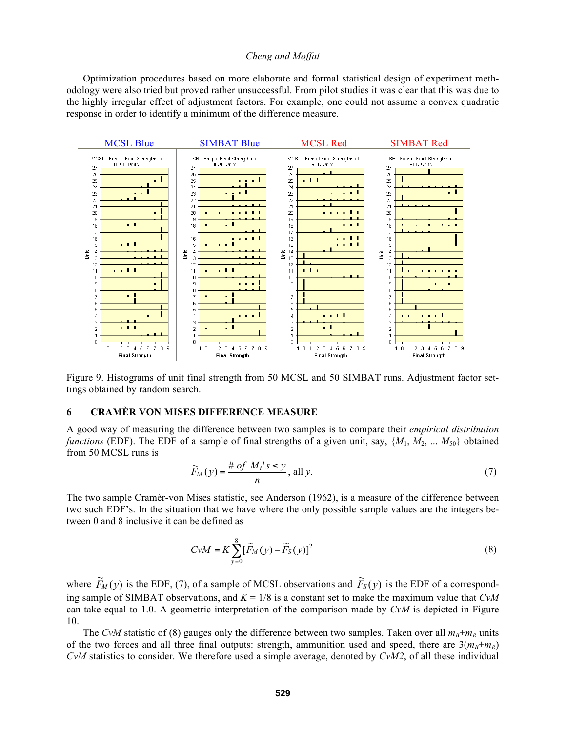Optimization procedures based on more elaborate and formal statistical design of experiment methodology were also tried but proved rather unsuccessful. From pilot studies it was clear that this was due to the highly irregular effect of adjustment factors. For example, one could not assume a convex quadratic response in order to identify a minimum of the difference measure.



Figure 9. Histograms of unit final strength from 50 MCSL and 50 SIMBAT runs. Adjustment factor settings obtained by random search.

## **6 CRAMÈR VON MISES DIFFERENCE MEASURE**

A good way of measuring the difference between two samples is to compare their *empirical distribution functions* (EDF). The EDF of a sample of final strengths of a given unit, say, {*M*1, *M*2, ... *M*50} obtained from 50 MCSL runs is

$$
\widetilde{F}_M(y) = \frac{\text{# of } M_i \text{'s} \le y}{n}, \text{ all } y. \tag{7}
$$

The two sample Cramèr-von Mises statistic, see Anderson (1962), is a measure of the difference between two such EDF's. In the situation that we have where the only possible sample values are the integers between 0 and 8 inclusive it can be defined as

$$
CvM = K \sum_{y=0}^{8} [\widetilde{F}_M(y) - \widetilde{F}_S(y)]^2
$$
\n(8)

where  $\widetilde{F}_M(y)$  is the EDF, (7), of a sample of MCSL observations and  $\widetilde{F}_S(y)$  is the EDF of a corresponding sample of SIMBAT observations, and  $K = 1/8$  is a constant set to make the maximum value that  $CvM$ can take equal to 1.0. A geometric interpretation of the comparison made by *CvM* is depicted in Figure 10.

The *CvM* statistic of (8) gauges only the difference between two samples. Taken over all  $m_B + m_R$  units of the two forces and all three final outputs: strength, ammunition used and speed, there are  $3(m_B+m_R)$ *CvM* statistics to consider. We therefore used a simple average, denoted by *CvM2*, of all these individual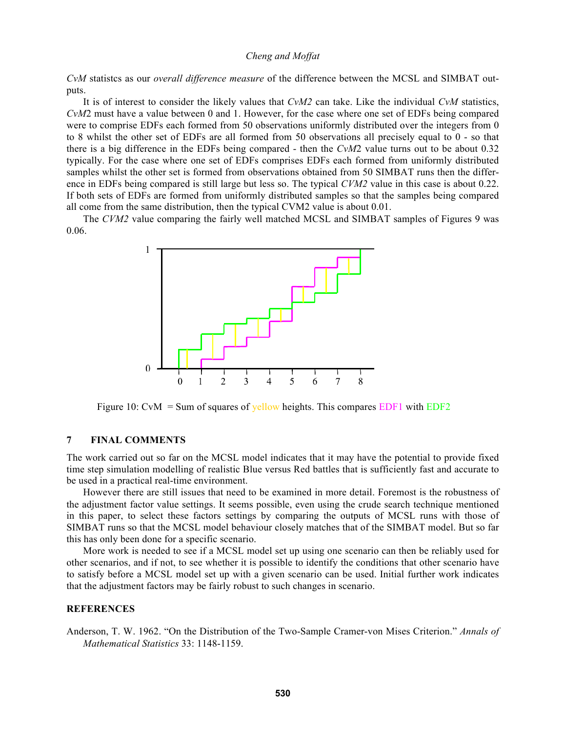*CvM* statistcs as our *overall difference measure* of the difference between the MCSL and SIMBAT outputs.

It is of interest to consider the likely values that *CvM2* can take. Like the individual *CvM* statistics, *CvM*2 must have a value between 0 and 1. However, for the case where one set of EDFs being compared were to comprise EDFs each formed from 50 observations uniformly distributed over the integers from 0 to 8 whilst the other set of EDFs are all formed from 50 observations all precisely equal to 0 - so that there is a big difference in the EDFs being compared - then the *CvM*2 value turns out to be about 0.32 typically. For the case where one set of EDFs comprises EDFs each formed from uniformly distributed samples whilst the other set is formed from observations obtained from 50 SIMBAT runs then the difference in EDFs being compared is still large but less so. The typical *CVM2* value in this case is about 0.22. If both sets of EDFs are formed from uniformly distributed samples so that the samples being compared all come from the same distribution, then the typical CVM2 value is about 0.01.

The *CVM2* value comparing the fairly well matched MCSL and SIMBAT samples of Figures 9 was 0.06.



Figure 10: CvM = Sum of squares of yellow heights. This compares EDF1 with EDF2

# **7 FINAL COMMENTS**

The work carried out so far on the MCSL model indicates that it may have the potential to provide fixed time step simulation modelling of realistic Blue versus Red battles that is sufficiently fast and accurate to be used in a practical real-time environment.

However there are still issues that need to be examined in more detail. Foremost is the robustness of the adjustment factor value settings. It seems possible, even using the crude search technique mentioned in this paper, to select these factors settings by comparing the outputs of MCSL runs with those of SIMBAT runs so that the MCSL model behaviour closely matches that of the SIMBAT model. But so far this has only been done for a specific scenario.

More work is needed to see if a MCSL model set up using one scenario can then be reliably used for other scenarios, and if not, to see whether it is possible to identify the conditions that other scenario have to satisfy before a MCSL model set up with a given scenario can be used. Initial further work indicates that the adjustment factors may be fairly robust to such changes in scenario.

### **REFERENCES**

Anderson, T. W. 1962. "On the Distribution of the Two-Sample Cramer-von Mises Criterion." *Annals of Mathematical Statistics* 33: 1148-1159.